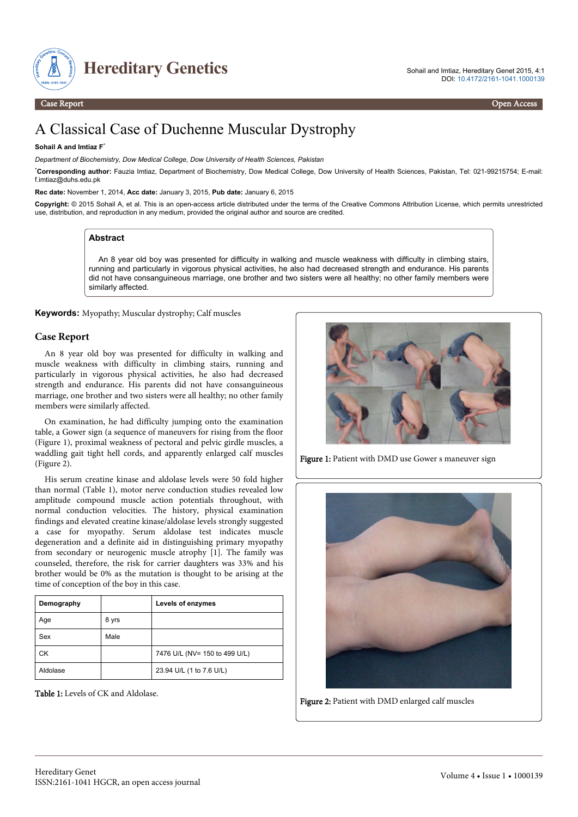

Case Report Open Access

# A Classical Case of Duchenne Muscular Dystrophy

#### **Sohail A and Imtiaz F**\*

*Department of Biochemistry, Dow Medical College, Dow University of Health Sciences, Pakistan*

\***Corresponding author:** Fauzia Imtiaz, Department of Biochemistry, Dow Medical College, Dow University of Health Sciences, Pakistan, Tel: 021-99215754; E-mail: f.imtiaz@duhs.edu.pk

**Rec date:** November 1, 2014, **Acc date:** January 3, 2015, **Pub date:** January 6, 2015

**Copyright:** © 2015 Sohail A, et al. This is an open-access article distributed under the terms of the Creative Commons Attribution License, which permits unrestricted use, distribution, and reproduction in any medium, provided the original author and source are credited.

### **Abstract**

An 8 year old boy was presented for difficulty in walking and muscle weakness with difficulty in climbing stairs, running and particularly in vigorous physical activities, he also had decreased strength and endurance. His parents did not have consanguineous marriage, one brother and two sisters were all healthy; no other family members were similarly affected.

**Keywords:** Myopathy; Muscular dystrophy; Calf muscles

### **Case Report**

An 8 year old boy was presented for difficulty in walking and muscle weakness with difficulty in climbing stairs, running and particularly in vigorous physical activities, he also had decreased strength and endurance. His parents did not have consanguineous marriage, one brother and two sisters were all healthy; no other family members were similarly affected.

On examination, he had difficulty jumping onto the examination table, a Gower sign (a sequence of maneuvers for rising from the floor (Figure 1), proximal weakness of pectoral and pelvic girdle muscles, a waddling gait tight hell cords, and apparently enlarged calf muscles (Figure 2).

His serum creatine kinase and aldolase levels were 50 fold higher than normal (Table 1), motor nerve conduction studies revealed low amplitude compound muscle action potentials throughout, with normal conduction velocities. The history, physical examination findings and elevated creatine kinase/aldolase levels strongly suggested a case for myopathy. Serum aldolase test indicates muscle degeneration and a definite aid in distinguishing primary myopathy from secondary or neurogenic muscle atrophy [1]. The family was counseled, therefore, the risk for carrier daughters was 33% and his brother would be 0% as the mutation is thought to be arising at the time of conception of the boy in this case.

| Demography |       | Levels of enzymes             |
|------------|-------|-------------------------------|
| Age        | 8 yrs |                               |
| Sex        | Male  |                               |
| СK         |       | 7476 U/L (NV= 150 to 499 U/L) |
| Aldolase   |       | 23.94 U/L (1 to 7.6 U/L)      |

Table 1: Levels of CK and Aldolase.



Figure 1: Patient with DMD use Gower s maneuver sign



Figure 2: Patient with DMD enlarged calf muscles